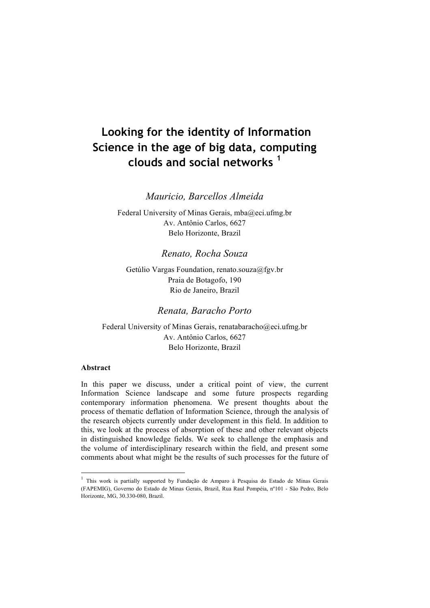# **Looking for the identity of Information Science in the age of big data, computing clouds and social networks <sup>1</sup>**

*Mauricio, Barcellos Almeida*

Federal University of Minas Gerais, mba@eci.ufmg.br Av. Antônio Carlos, 6627 Belo Horizonte, Brazil

#### *Renato, Rocha Souza*

Getúlio Vargas Foundation, renato.souza@fgv.br Praia de Botagofo, 190 Rio de Janeiro, Brazil

#### *Renata, Baracho Porto*

Federal University of Minas Gerais, renatabaracho@eci.ufmg.br Av. Antônio Carlos, 6627 Belo Horizonte, Brazil

#### **Abstract**

In this paper we discuss, under a critical point of view, the current Information Science landscape and some future prospects regarding contemporary information phenomena. We present thoughts about the process of thematic deflation of Information Science, through the analysis of the research objects currently under development in this field. In addition to this, we look at the process of absorption of these and other relevant objects in distinguished knowledge fields. We seek to challenge the emphasis and the volume of interdisciplinary research within the field, and present some comments about what might be the results of such processes for the future of

 <sup>1</sup> This work is partially supported by Fundação de Amparo à Pesquisa do Estado de Minas Gerais (FAPEMIG), Governo do Estado de Minas Gerais, Brazil, Rua Raul Pompéia, nº101 - São Pedro, Belo Horizonte, MG, 30.330-080, Brazil.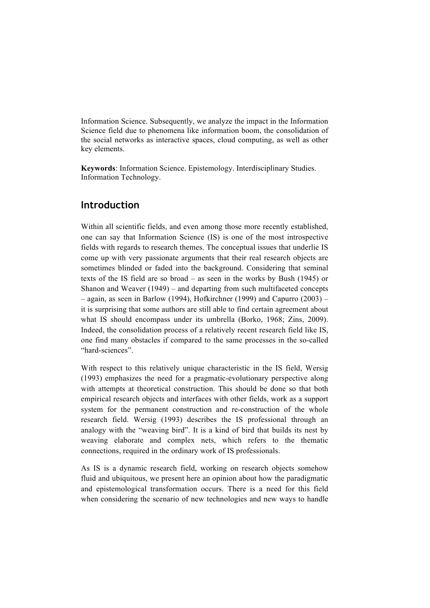Information Science. Subsequently, we analyze the impact in the Information Science field due to phenomena like information boom, the consolidation of the social networks as interactive spaces, cloud computing, as well as other key elements.

**Keywords**: Information Science. Epistemology. Interdisciplinary Studies. Information Technology.

#### **Introduction**

Within all scientific fields, and even among those more recently established, one can say that Information Science (IS) is one of the most introspective fields with regards to research themes. The conceptual issues that underlie IS come up with very passionate arguments that their real research objects are sometimes blinded or faded into the background. Considering that seminal texts of the IS field are so broad – as seen in the works by Bush (1945) or Shanon and Weaver (1949) – and departing from such multifaceted concepts – again, as seen in Barlow (1994), Hofkirchner (1999) and Capurro (2003) – it is surprising that some authors are still able to find certain agreement about what IS should encompass under its umbrella (Borko, 1968; Zins, 2009). Indeed, the consolidation process of a relatively recent research field like IS, one find many obstacles if compared to the same processes in the so-called "hard-sciences".

With respect to this relatively unique characteristic in the IS field, Wersig (1993) emphasizes the need for a pragmatic-evolutionary perspective along with attempts at theoretical construction. This should be done so that both empirical research objects and interfaces with other fields, work as a support system for the permanent construction and re-construction of the whole research field. Wersig (1993) describes the IS professional through an analogy with the "weaving bird". It is a kind of bird that builds its nest by weaving elaborate and complex nets, which refers to the thematic connections, required in the ordinary work of IS professionals.

As IS is a dynamic research field, working on research objects somehow fluid and ubiquitous, we present here an opinion about how the paradigmatic and epistemological transformation occurs. There is a need for this field when considering the scenario of new technologies and new ways to handle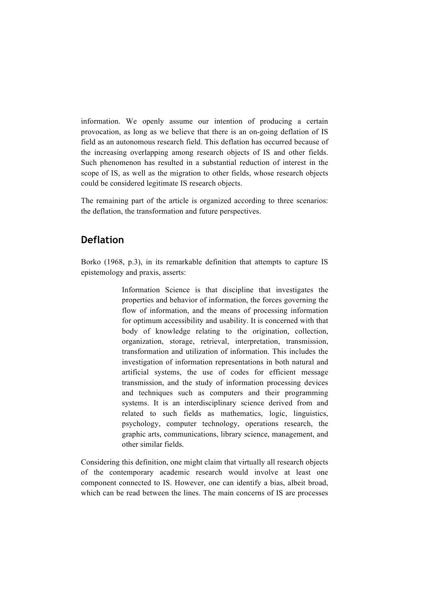information. We openly assume our intention of producing a certain provocation, as long as we believe that there is an on-going deflation of IS field as an autonomous research field. This deflation has occurred because of the increasing overlapping among research objects of IS and other fields. Such phenomenon has resulted in a substantial reduction of interest in the scope of IS, as well as the migration to other fields, whose research objects could be considered legitimate IS research objects.

The remaining part of the article is organized according to three scenarios: the deflation, the transformation and future perspectives.

### **Deflation**

Borko (1968, p.3), in its remarkable definition that attempts to capture IS epistemology and praxis, asserts:

> Information Science is that discipline that investigates the properties and behavior of information, the forces governing the flow of information, and the means of processing information for optimum accessibility and usability. It is concerned with that body of knowledge relating to the origination, collection, organization, storage, retrieval, interpretation, transmission, transformation and utilization of information. This includes the investigation of information representations in both natural and artificial systems, the use of codes for efficient message transmission, and the study of information processing devices and techniques such as computers and their programming systems. It is an interdisciplinary science derived from and related to such fields as mathematics, logic, linguistics, psychology, computer technology, operations research, the graphic arts, communications, library science, management, and other similar fields.

Considering this definition, one might claim that virtually all research objects of the contemporary academic research would involve at least one component connected to IS. However, one can identify a bias, albeit broad, which can be read between the lines. The main concerns of IS are processes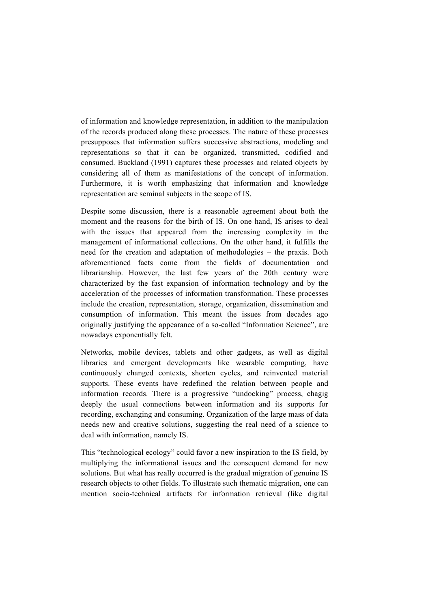of information and knowledge representation, in addition to the manipulation of the records produced along these processes. The nature of these processes presupposes that information suffers successive abstractions, modeling and representations so that it can be organized, transmitted, codified and consumed. Buckland (1991) captures these processes and related objects by considering all of them as manifestations of the concept of information. Furthermore, it is worth emphasizing that information and knowledge representation are seminal subjects in the scope of IS.

Despite some discussion, there is a reasonable agreement about both the moment and the reasons for the birth of IS. On one hand, IS arises to deal with the issues that appeared from the increasing complexity in the management of informational collections. On the other hand, it fulfills the need for the creation and adaptation of methodologies – the praxis. Both aforementioned facts come from the fields of documentation and librarianship. However, the last few years of the 20th century were characterized by the fast expansion of information technology and by the acceleration of the processes of information transformation. These processes include the creation, representation, storage, organization, dissemination and consumption of information. This meant the issues from decades ago originally justifying the appearance of a so-called "Information Science", are nowadays exponentially felt.

Networks, mobile devices, tablets and other gadgets, as well as digital libraries and emergent developments like wearable computing, have continuously changed contexts, shorten cycles, and reinvented material supports. These events have redefined the relation between people and information records. There is a progressive "undocking" process, chagig deeply the usual connections between information and its supports for recording, exchanging and consuming. Organization of the large mass of data needs new and creative solutions, suggesting the real need of a science to deal with information, namely IS.

This "technological ecology" could favor a new inspiration to the IS field, by multiplying the informational issues and the consequent demand for new solutions. But what has really occurred is the gradual migration of genuine IS research objects to other fields. To illustrate such thematic migration, one can mention socio-technical artifacts for information retrieval (like digital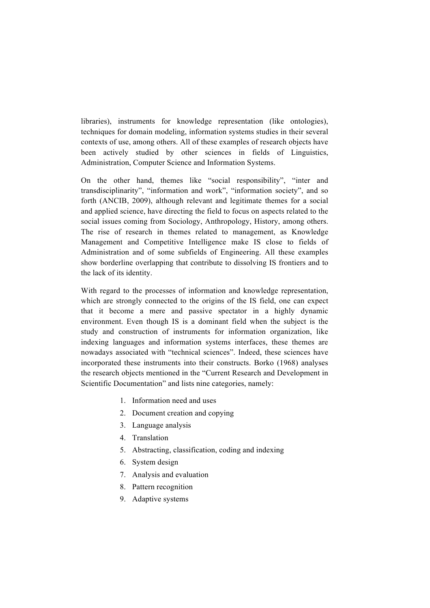libraries), instruments for knowledge representation (like ontologies), techniques for domain modeling, information systems studies in their several contexts of use, among others. All of these examples of research objects have been actively studied by other sciences in fields of Linguistics, Administration, Computer Science and Information Systems.

On the other hand, themes like "social responsibility", "inter and transdisciplinarity", "information and work", "information society", and so forth (ANCIB, 2009), although relevant and legitimate themes for a social and applied science, have directing the field to focus on aspects related to the social issues coming from Sociology, Anthropology, History, among others. The rise of research in themes related to management, as Knowledge Management and Competitive Intelligence make IS close to fields of Administration and of some subfields of Engineering. All these examples show borderline overlapping that contribute to dissolving IS frontiers and to the lack of its identity.

With regard to the processes of information and knowledge representation, which are strongly connected to the origins of the IS field, one can expect that it become a mere and passive spectator in a highly dynamic environment. Even though IS is a dominant field when the subject is the study and construction of instruments for information organization, like indexing languages and information systems interfaces, these themes are nowadays associated with "technical sciences". Indeed, these sciences have incorporated these instruments into their constructs. Borko (1968) analyses the research objects mentioned in the "Current Research and Development in Scientific Documentation" and lists nine categories, namely:

- 1. Information need and uses
- 2. Document creation and copying
- 3. Language analysis
- 4. Translation
- 5. Abstracting, classification, coding and indexing
- 6. System design
- 7. Analysis and evaluation
- 8. Pattern recognition
- 9. Adaptive systems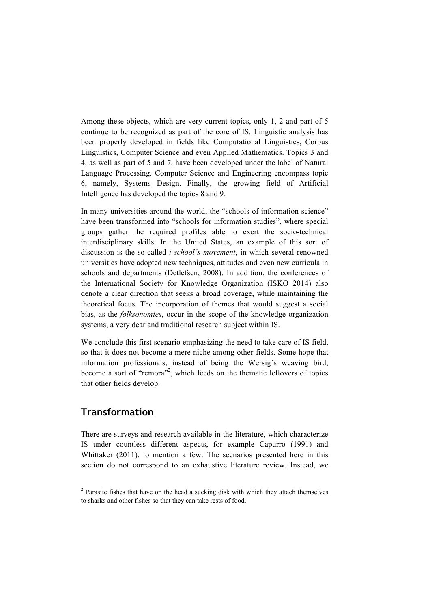Among these objects, which are very current topics, only 1, 2 and part of 5 continue to be recognized as part of the core of IS. Linguistic analysis has been properly developed in fields like Computational Linguistics, Corpus Linguistics, Computer Science and even Applied Mathematics. Topics 3 and 4, as well as part of 5 and 7, have been developed under the label of Natural Language Processing. Computer Science and Engineering encompass topic 6, namely, Systems Design. Finally, the growing field of Artificial Intelligence has developed the topics 8 and 9.

In many universities around the world, the "schools of information science" have been transformed into "schools for information studies", where special groups gather the required profiles able to exert the socio-technical interdisciplinary skills. In the United States, an example of this sort of discussion is the so-called *i-school´s movement*, in which several renowned universities have adopted new techniques, attitudes and even new curricula in schools and departments (Detlefsen, 2008). In addition, the conferences of the International Society for Knowledge Organization (ISKO 2014) also denote a clear direction that seeks a broad coverage, while maintaining the theoretical focus. The incorporation of themes that would suggest a social bias, as the *folksonomies*, occur in the scope of the knowledge organization systems, a very dear and traditional research subject within IS.

We conclude this first scenario emphasizing the need to take care of IS field, so that it does not become a mere niche among other fields. Some hope that information professionals, instead of being the Wersig´s weaving bird, become a sort of "remora"<sup>2</sup>, which feeds on the thematic leftovers of topics that other fields develop.

### **Transformation**

There are surveys and research available in the literature, which characterize IS under countless different aspects, for example Capurro (1991) and Whittaker (2011), to mention a few. The scenarios presented here in this section do not correspond to an exhaustive literature review. Instead, we

 <sup>2</sup> Parasite fishes that have on the head a sucking disk with which they attach themselves to sharks and other fishes so that they can take rests of food.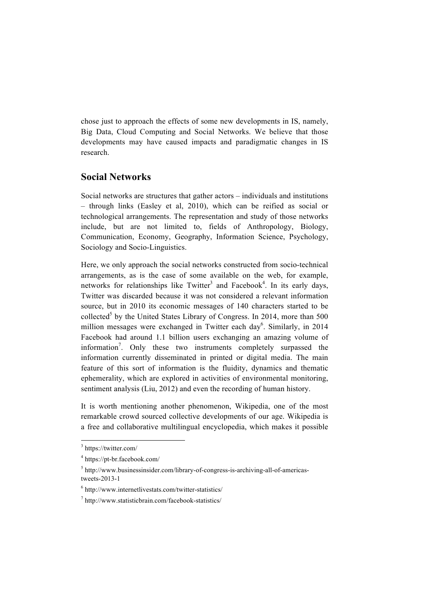chose just to approach the effects of some new developments in IS, namely, Big Data, Cloud Computing and Social Networks. We believe that those developments may have caused impacts and paradigmatic changes in IS research.

### **Social Networks**

Social networks are structures that gather actors – individuals and institutions – through links (Easley et al, 2010), which can be reified as social or technological arrangements. The representation and study of those networks include, but are not limited to, fields of Anthropology, Biology, Communication, Economy, Geography, Information Science, Psychology, Sociology and Socio-Linguistics.

Here, we only approach the social networks constructed from socio-technical arrangements, as is the case of some available on the web, for example, networks for relationships like Twitter<sup>3</sup> and Facebook<sup>4</sup>. In its early days, Twitter was discarded because it was not considered a relevant information source, but in 2010 its economic messages of 140 characters started to be collected<sup>5</sup> by the United States Library of Congress. In 2014, more than 500 million messages were exchanged in Twitter each day<sup>6</sup>. Similarly, in 2014 Facebook had around 1.1 billion users exchanging an amazing volume of information<sup>7</sup>. Only these two instruments completely surpassed the information currently disseminated in printed or digital media. The main feature of this sort of information is the fluidity, dynamics and thematic ephemerality, which are explored in activities of environmental monitoring, sentiment analysis (Liu, 2012) and even the recording of human history.

It is worth mentioning another phenomenon, Wikipedia, one of the most remarkable crowd sourced collective developments of our age. Wikipedia is a free and collaborative multilingual encyclopedia, which makes it possible

 <sup>3</sup> https://twitter.com/

<sup>4</sup> https://pt-br.facebook.com/

 $5$  http://www.businessinsider.com/library-of-congress-is-archiving-all-of-americastweets-2013-1

 $6$  http://www.internetlivestats.com/twitter-statistics/

<sup>7</sup> http://www.statisticbrain.com/facebook-statistics/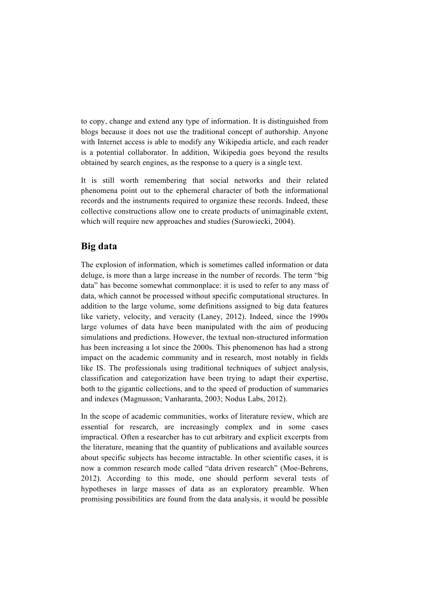to copy, change and extend any type of information. It is distinguished from blogs because it does not use the traditional concept of authorship. Anyone with Internet access is able to modify any Wikipedia article, and each reader is a potential collaborator. In addition, Wikipedia goes beyond the results obtained by search engines, as the response to a query is a single text.

It is still worth remembering that social networks and their related phenomena point out to the ephemeral character of both the informational records and the instruments required to organize these records. Indeed, these collective constructions allow one to create products of unimaginable extent, which will require new approaches and studies (Surowiecki, 2004).

#### **Big data**

The explosion of information, which is sometimes called information or data deluge, is more than a large increase in the number of records. The term "big data" has become somewhat commonplace: it is used to refer to any mass of data, which cannot be processed without specific computational structures. In addition to the large volume, some definitions assigned to big data features like variety, velocity, and veracity (Laney, 2012). Indeed, since the 1990s large volumes of data have been manipulated with the aim of producing simulations and predictions. However, the textual non-structured information has been increasing a lot since the 2000s. This phenomenon has had a strong impact on the academic community and in research, most notably in fields like IS. The professionals using traditional techniques of subject analysis, classification and categorization have been trying to adapt their expertise, both to the gigantic collections, and to the speed of production of summaries and indexes (Magnusson; Vanharanta, 2003; Nodus Labs, 2012).

In the scope of academic communities, works of literature review, which are essential for research, are increasingly complex and in some cases impractical. Often a researcher has to cut arbitrary and explicit excerpts from the literature, meaning that the quantity of publications and available sources about specific subjects has become intractable. In other scientific cases, it is now a common research mode called "data driven research" (Moe-Behrens, 2012). According to this mode, one should perform several tests of hypotheses in large masses of data as an exploratory preamble. When promising possibilities are found from the data analysis, it would be possible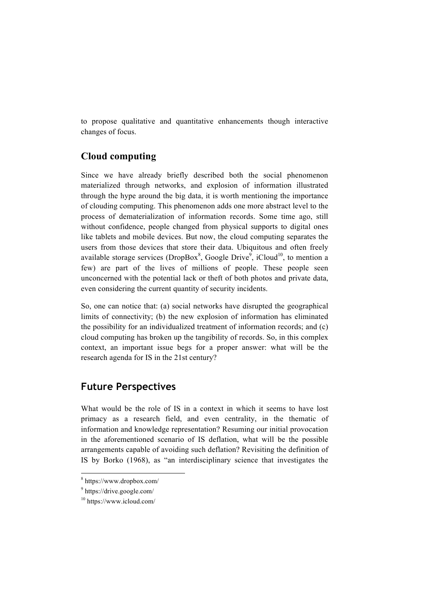to propose qualitative and quantitative enhancements though interactive changes of focus.

### **Cloud computing**

Since we have already briefly described both the social phenomenon materialized through networks, and explosion of information illustrated through the hype around the big data, it is worth mentioning the importance of clouding computing. This phenomenon adds one more abstract level to the process of dematerialization of information records. Some time ago, still without confidence, people changed from physical supports to digital ones like tablets and mobile devices. But now, the cloud computing separates the users from those devices that store their data. Ubiquitous and often freely available storage services (DropBox<sup>8</sup>, Google Drive<sup>9</sup>, iCloud<sup>10</sup>, to mention a few) are part of the lives of millions of people. These people seen unconcerned with the potential lack or theft of both photos and private data, even considering the current quantity of security incidents.

So, one can notice that: (a) social networks have disrupted the geographical limits of connectivity; (b) the new explosion of information has eliminated the possibility for an individualized treatment of information records; and (c) cloud computing has broken up the tangibility of records. So, in this complex context, an important issue begs for a proper answer: what will be the research agenda for IS in the 21st century?

## **Future Perspectives**

What would be the role of IS in a context in which it seems to have lost primacy as a research field, and even centrality, in the thematic of information and knowledge representation? Resuming our initial provocation in the aforementioned scenario of IS deflation, what will be the possible arrangements capable of avoiding such deflation? Revisiting the definition of IS by Borko (1968), as "an interdisciplinary science that investigates the

 <sup>8</sup> https://www.dropbox.com/

<sup>9</sup> https://drive.google.com/

<sup>10</sup> https://www.icloud.com/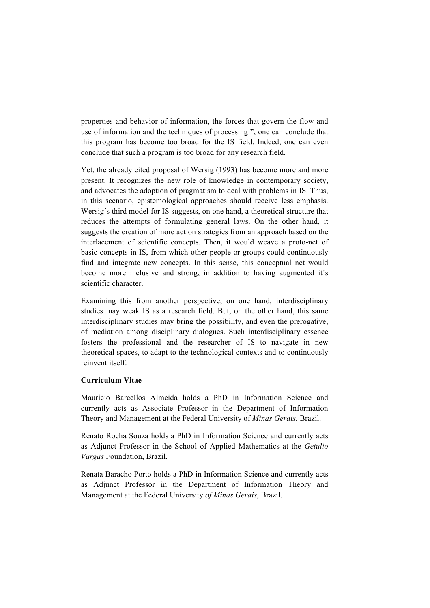properties and behavior of information, the forces that govern the flow and use of information and the techniques of processing ", one can conclude that this program has become too broad for the IS field. Indeed, one can even conclude that such a program is too broad for any research field.

Yet, the already cited proposal of Wersig (1993) has become more and more present. It recognizes the new role of knowledge in contemporary society, and advocates the adoption of pragmatism to deal with problems in IS. Thus, in this scenario, epistemological approaches should receive less emphasis. Wersig´s third model for IS suggests, on one hand, a theoretical structure that reduces the attempts of formulating general laws. On the other hand, it suggests the creation of more action strategies from an approach based on the interlacement of scientific concepts. Then, it would weave a proto-net of basic concepts in IS, from which other people or groups could continuously find and integrate new concepts. In this sense, this conceptual net would become more inclusive and strong, in addition to having augmented it´s scientific character.

Examining this from another perspective, on one hand, interdisciplinary studies may weak IS as a research field. But, on the other hand, this same interdisciplinary studies may bring the possibility, and even the prerogative, of mediation among disciplinary dialogues. Such interdisciplinary essence fosters the professional and the researcher of IS to navigate in new theoretical spaces, to adapt to the technological contexts and to continuously reinvent itself.

#### **Curriculum Vitae**

Mauricio Barcellos Almeida holds a PhD in Information Science and currently acts as Associate Professor in the Department of Information Theory and Management at the Federal University of *Minas Gerais*, Brazil.

Renato Rocha Souza holds a PhD in Information Science and currently acts as Adjunct Professor in the School of Applied Mathematics at the *Getulio Vargas* Foundation, Brazil.

Renata Baracho Porto holds a PhD in Information Science and currently acts as Adjunct Professor in the Department of Information Theory and Management at the Federal University *of Minas Gerais*, Brazil.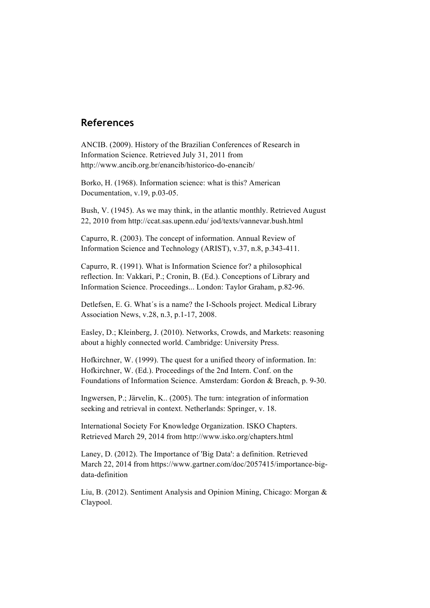### **References**

ANCIB. (2009). History of the Brazilian Conferences of Research in Information Science. Retrieved July 31, 2011 from http://www.ancib.org.br/enancib/historico-do-enancib/

Borko, H. (1968). Information science: what is this? American Documentation, v.19, p.03-05.

Bush, V. (1945). As we may think, in the atlantic monthly. Retrieved August 22, 2010 from http://ccat.sas.upenn.edu/ jod/texts/vannevar.bush.html

Capurro, R. (2003). The concept of information. Annual Review of Information Science and Technology (ARIST), v.37, n.8, p.343-411.

Capurro, R. (1991). What is Information Science for? a philosophical reflection. In: Vakkari, P.; Cronin, B. (Ed.). Conceptions of Library and Information Science. Proceedings... London: Taylor Graham, p.82-96.

Detlefsen, E. G. What´s is a name? the I-Schools project. Medical Library Association News, v.28, n.3, p.1-17, 2008.

Easley, D.; Kleinberg, J. (2010). Networks, Crowds, and Markets: reasoning about a highly connected world. Cambridge: University Press.

Hofkirchner, W. (1999). The quest for a unified theory of information. In: Hofkirchner, W. (Ed.). Proceedings of the 2nd Intern. Conf. on the Foundations of Information Science. Amsterdam: Gordon & Breach, p. 9-30.

Ingwersen, P.; Järvelin, K.. (2005). The turn: integration of information seeking and retrieval in context. Netherlands: Springer, v. 18.

International Society For Knowledge Organization. ISKO Chapters. Retrieved March 29, 2014 from http://www.isko.org/chapters.html

Laney, D. (2012). The Importance of 'Big Data': a definition. Retrieved March 22, 2014 from https://www.gartner.com/doc/2057415/importance-bigdata-definition

Liu, B. (2012). Sentiment Analysis and Opinion Mining, Chicago: Morgan & Claypool.